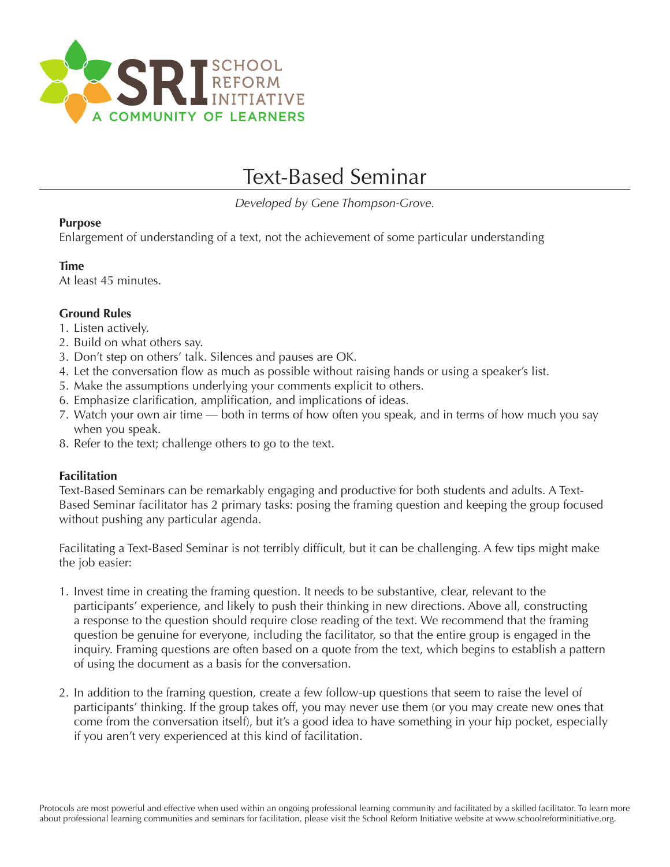

# Text-Based Seminar

*Developed by Gene Thompson-Grove.*

# **Purpose**

Enlargement of understanding of a text, not the achievement of some particular understanding

# **Time**

At least 45 minutes.

# **Ground Rules**

- 1. Listen actively.
- 2. Build on what others say.
- 3. Don't step on others' talk. Silences and pauses are OK.
- 4. Let the conversation flow as much as possible without raising hands or using a speaker's list.
- 5. Make the assumptions underlying your comments explicit to others.
- 6. Emphasize clarification, amplification, and implications of ideas.
- 7. Watch your own air time both in terms of how often you speak, and in terms of how much you say when you speak.
- 8. Refer to the text; challenge others to go to the text.

# **Facilitation**

Text-Based Seminars can be remarkably engaging and productive for both students and adults. A Text-Based Seminar facilitator has 2 primary tasks: posing the framing question and keeping the group focused without pushing any particular agenda.

Facilitating a Text-Based Seminar is not terribly difficult, but it can be challenging. A few tips might make the job easier:

- 1. Invest time in creating the framing question. It needs to be substantive, clear, relevant to the participants' experience, and likely to push their thinking in new directions. Above all, constructing a response to the question should require close reading of the text. We recommend that the framing question be genuine for everyone, including the facilitator, so that the entire group is engaged in the inquiry. Framing questions are often based on a quote from the text, which begins to establish a pattern of using the document as a basis for the conversation.
- 2. In addition to the framing question, create a few follow-up questions that seem to raise the level of participants' thinking. If the group takes off, you may never use them (or you may create new ones that come from the conversation itself), but it's a good idea to have something in your hip pocket, especially if you aren't very experienced at this kind of facilitation.